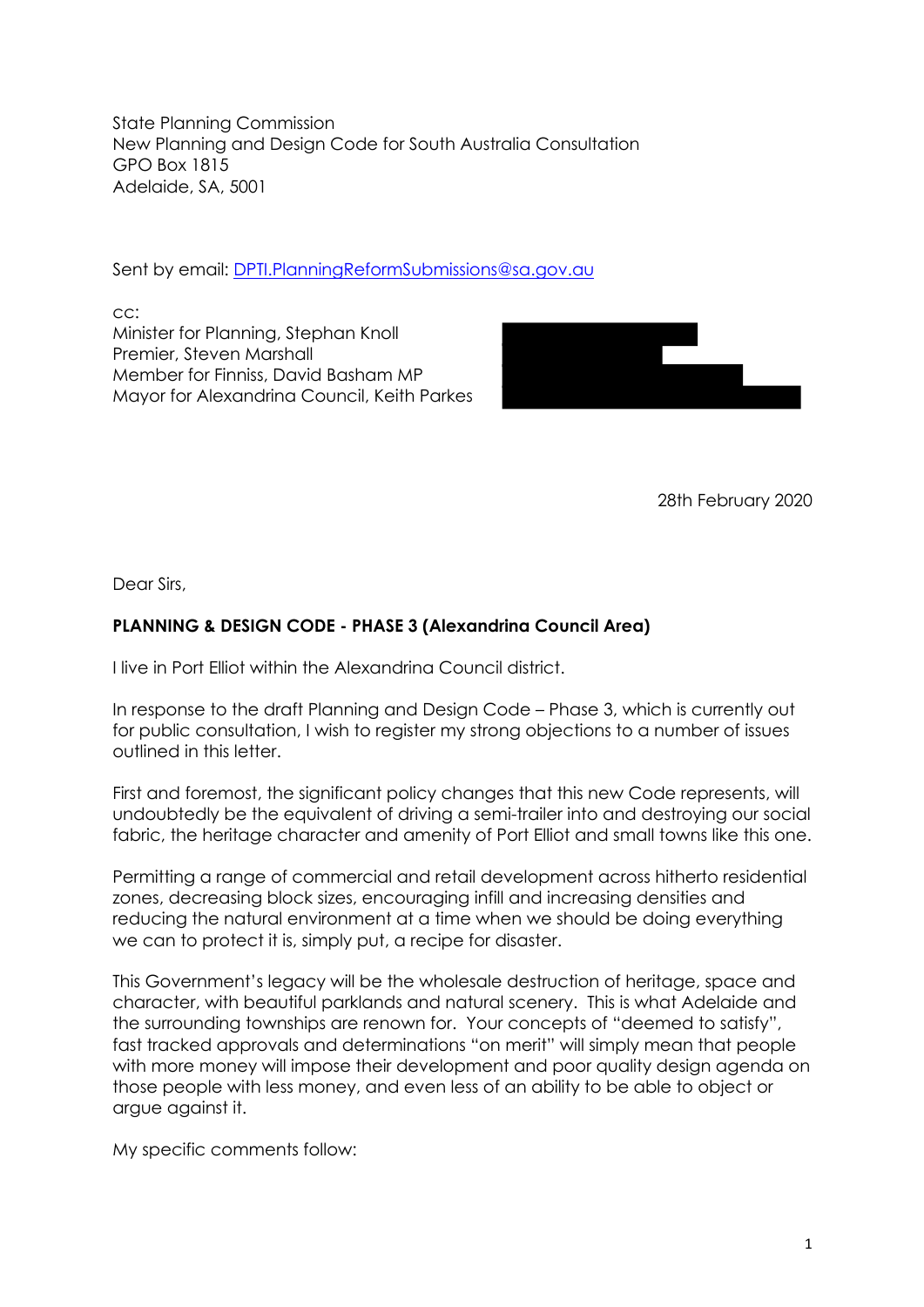State Planning Commission New Planning and Design Code for South Australia Consultation GPO Box 1815 Adelaide, SA, 5001

Sent by email: DPTI.PlanningReformSubmissions@sa.gov.au

cc: Minister for Planning, Stephan Knoll Premier, Steven Marshall Member for Finniss, David Basham MP Mayor for Alexandrina Council, Keith Parkes



28th February 2020

Dear Sirs,

# **PLANNING & DESIGN CODE - PHASE 3 (Alexandrina Council Area)**

I live in Port Elliot within the Alexandrina Council district.

In response to the draft Planning and Design Code – Phase 3, which is currently out for public consultation, I wish to register my strong objections to a number of issues outlined in this letter.

First and foremost, the significant policy changes that this new Code represents, will undoubtedly be the equivalent of driving a semi-trailer into and destroying our social fabric, the heritage character and amenity of Port Elliot and small towns like this one.

Permitting a range of commercial and retail development across hitherto residential zones, decreasing block sizes, encouraging infill and increasing densities and reducing the natural environment at a time when we should be doing everything we can to protect it is, simply put, a recipe for disaster.

This Government's legacy will be the wholesale destruction of heritage, space and character, with beautiful parklands and natural scenery. This is what Adelaide and the surrounding townships are renown for. Your concepts of "deemed to satisfy", fast tracked approvals and determinations "on merit" will simply mean that people with more money will impose their development and poor quality design agenda on those people with less money, and even less of an ability to be able to object or argue against it.

My specific comments follow: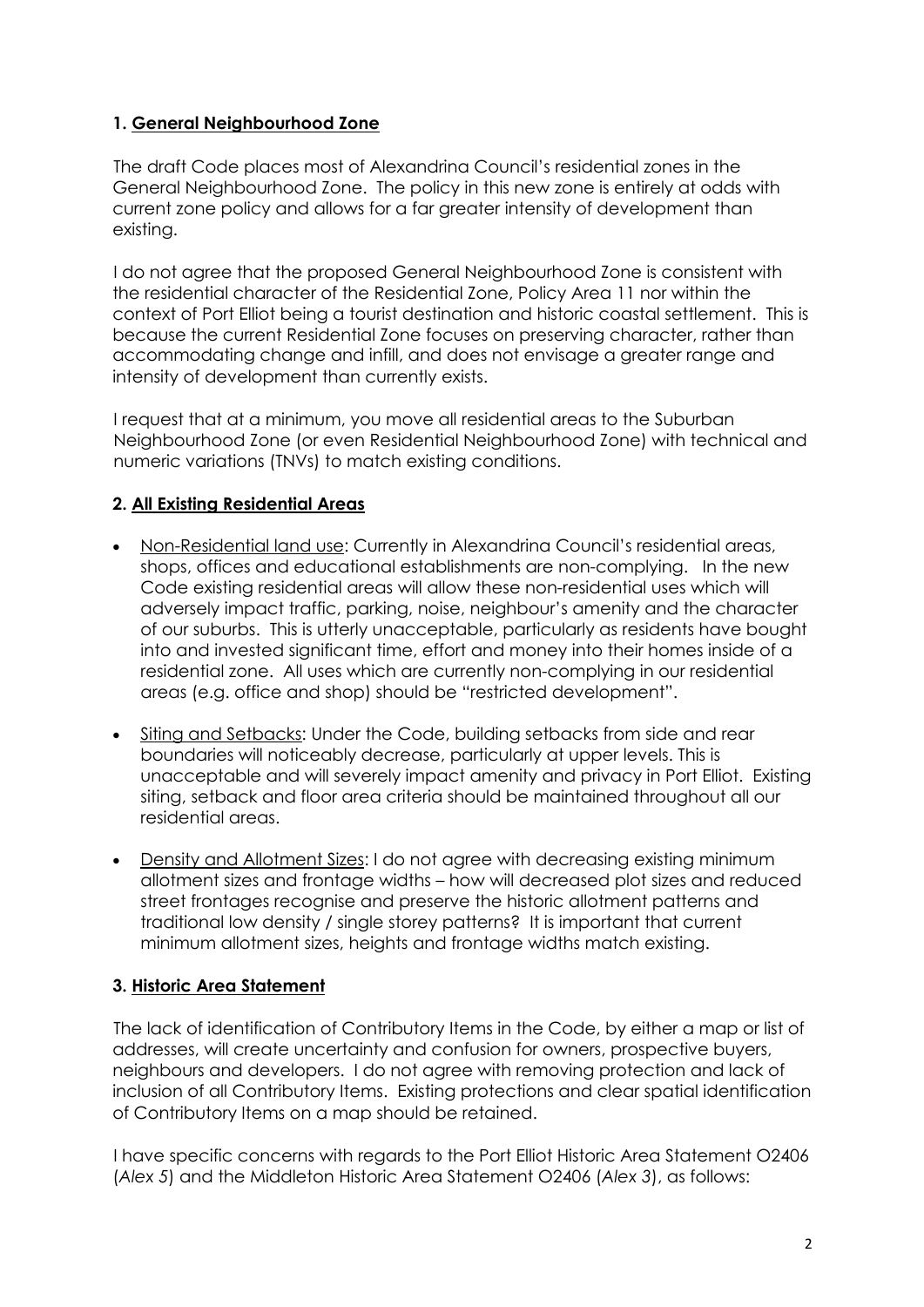## **1. General Neighbourhood Zone**

The draft Code places most of Alexandrina Council's residential zones in the General Neighbourhood Zone. The policy in this new zone is entirely at odds with current zone policy and allows for a far greater intensity of development than existing.

I do not agree that the proposed General Neighbourhood Zone is consistent with the residential character of the Residential Zone, Policy Area 11 nor within the context of Port Elliot being a tourist destination and historic coastal settlement. This is because the current Residential Zone focuses on preserving character, rather than accommodating change and infill, and does not envisage a greater range and intensity of development than currently exists.

I request that at a minimum, you move all residential areas to the Suburban Neighbourhood Zone (or even Residential Neighbourhood Zone) with technical and numeric variations (TNVs) to match existing conditions.

### **2. All Existing Residential Areas**

- Non-Residential land use: Currently in Alexandrina Council's residential areas, shops, offices and educational establishments are non-complying. In the new Code existing residential areas will allow these non-residential uses which will adversely impact traffic, parking, noise, neighbour's amenity and the character of our suburbs. This is utterly unacceptable, particularly as residents have bought into and invested significant time, effort and money into their homes inside of a residential zone. All uses which are currently non-complying in our residential areas (e.g. office and shop) should be "restricted development".
- Siting and Setbacks: Under the Code, building setbacks from side and rear boundaries will noticeably decrease, particularly at upper levels. This is unacceptable and will severely impact amenity and privacy in Port Elliot. Existing siting, setback and floor area criteria should be maintained throughout all our residential areas.
- Density and Allotment Sizes: I do not agree with decreasing existing minimum allotment sizes and frontage widths – how will decreased plot sizes and reduced street frontages recognise and preserve the historic allotment patterns and traditional low density / single storey patterns? It is important that current minimum allotment sizes, heights and frontage widths match existing.

# **3. Historic Area Statement**

The lack of identification of Contributory Items in the Code, by either a map or list of addresses, will create uncertainty and confusion for owners, prospective buyers, neighbours and developers. I do not agree with removing protection and lack of inclusion of all Contributory Items. Existing protections and clear spatial identification of Contributory Items on a map should be retained.

I have specific concerns with regards to the Port Elliot Historic Area Statement O2406 (*Alex 5*) and the Middleton Historic Area Statement O2406 (*Alex 3*), as follows: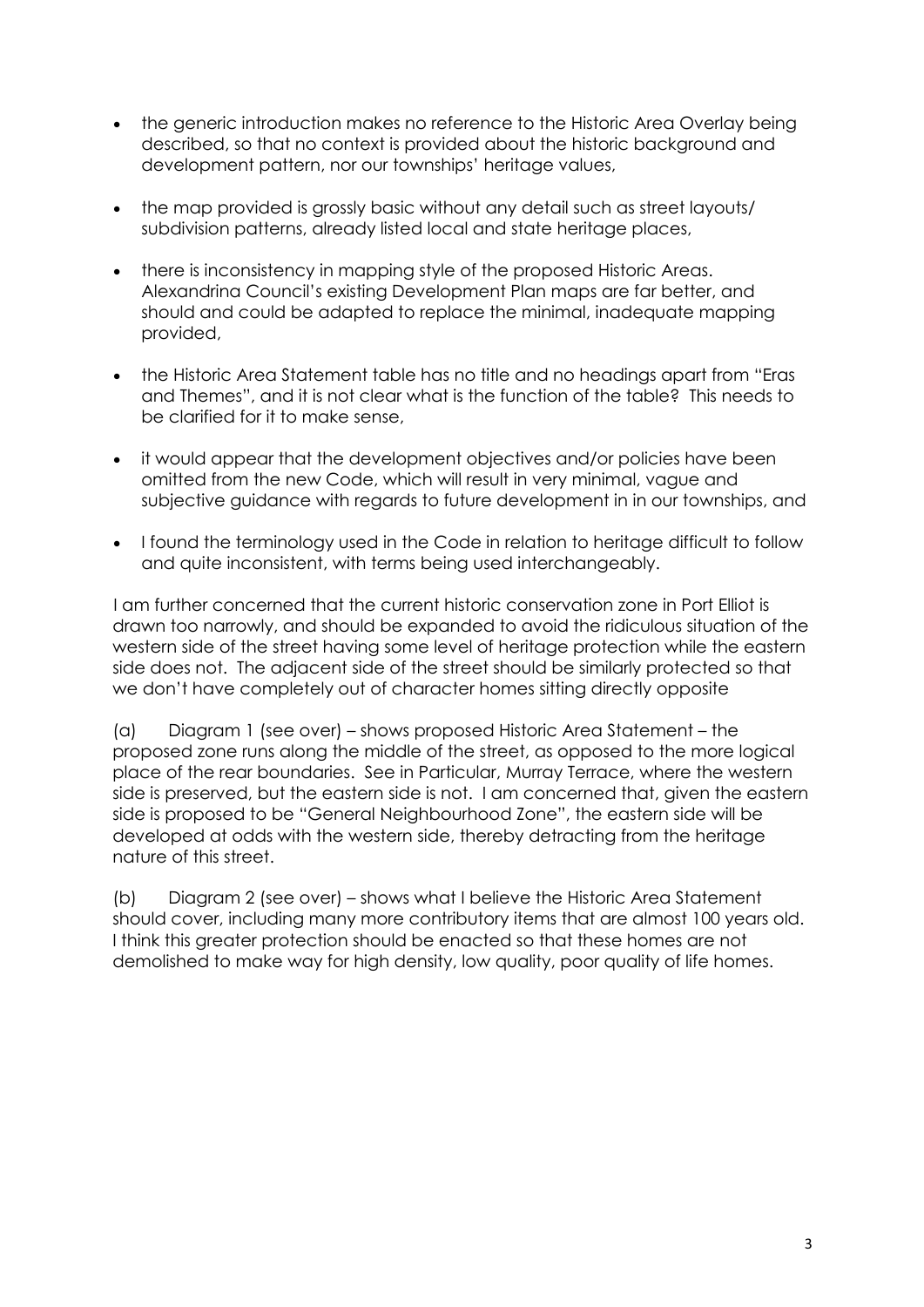- the generic introduction makes no reference to the Historic Area Overlay being described, so that no context is provided about the historic background and development pattern, nor our townships' heritage values,
- the map provided is grossly basic without any detail such as street layouts/ subdivision patterns, already listed local and state heritage places,
- there is inconsistency in mapping style of the proposed Historic Areas. Alexandrina Council's existing Development Plan maps are far better, and should and could be adapted to replace the minimal, inadequate mapping provided,
- the Historic Area Statement table has no title and no headings apart from "Eras and Themes", and it is not clear what is the function of the table? This needs to be clarified for it to make sense,
- it would appear that the development objectives and/or policies have been omitted from the new Code, which will result in very minimal, vague and subjective guidance with regards to future development in in our townships, and
- I found the terminology used in the Code in relation to heritage difficult to follow and quite inconsistent, with terms being used interchangeably.

I am further concerned that the current historic conservation zone in Port Elliot is drawn too narrowly, and should be expanded to avoid the ridiculous situation of the western side of the street having some level of heritage protection while the eastern side does not. The adjacent side of the street should be similarly protected so that we don't have completely out of character homes sitting directly opposite

(a) Diagram 1 (see over) – shows proposed Historic Area Statement – the proposed zone runs along the middle of the street, as opposed to the more logical place of the rear boundaries. See in Particular, Murray Terrace, where the western side is preserved, but the eastern side is not. I am concerned that, given the eastern side is proposed to be "General Neighbourhood Zone", the eastern side will be developed at odds with the western side, thereby detracting from the heritage nature of this street.

(b) Diagram 2 (see over) – shows what I believe the Historic Area Statement should cover, including many more contributory items that are almost 100 years old. I think this greater protection should be enacted so that these homes are not demolished to make way for high density, low quality, poor quality of life homes.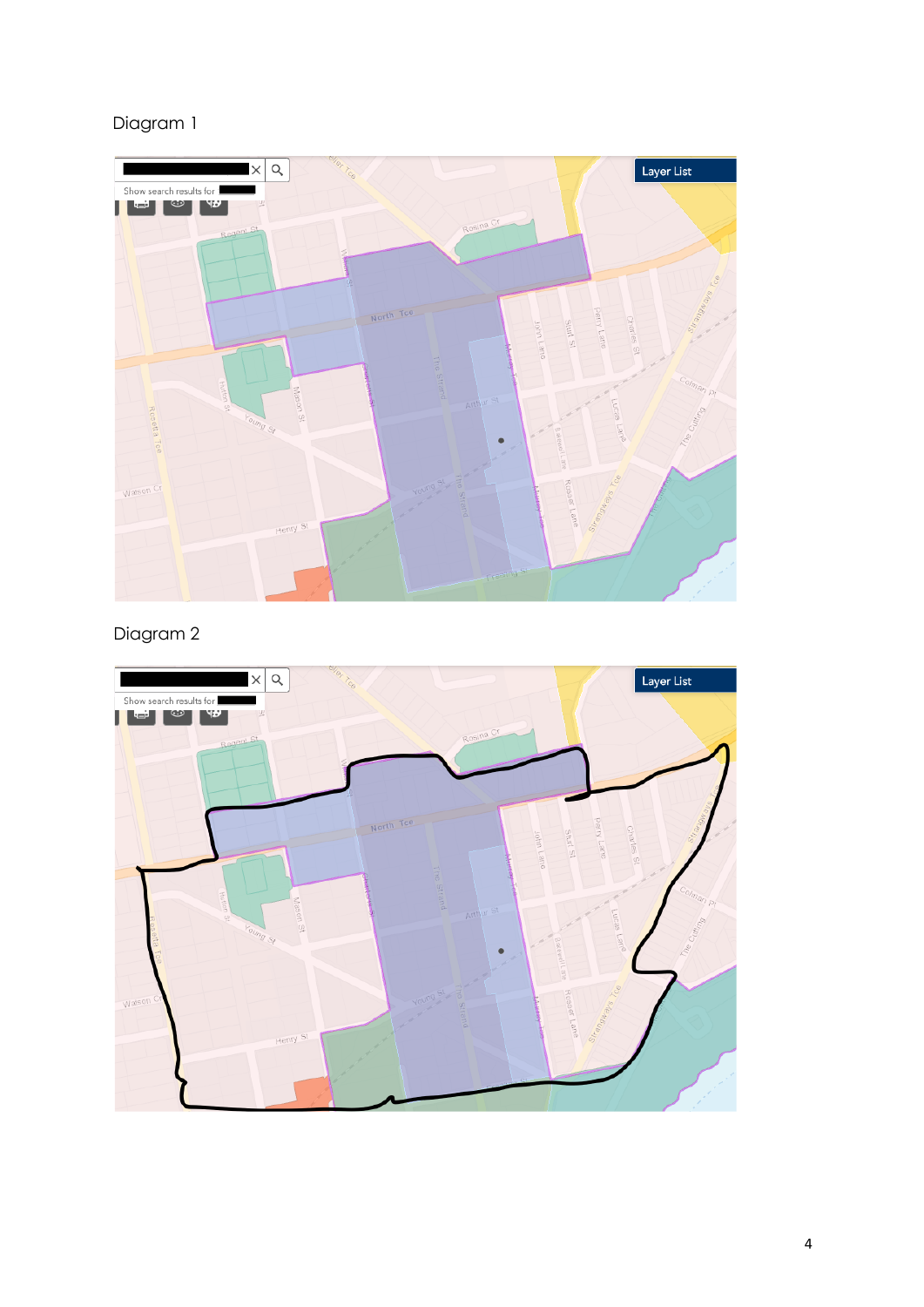# Diagram 1



Diagram 2